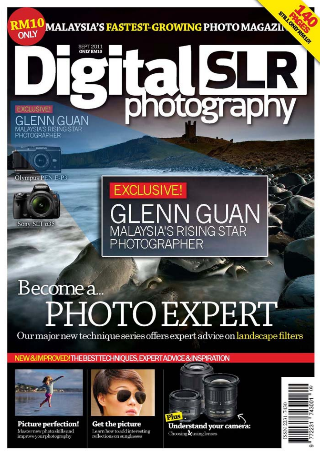

# Become a. PHOTO EXPERT

Our major new technique series offers expert advice on landscape filters

**HOTOGRAPHER** 

### NEW & IMPROVED! THE BEST TECHNIOUES. EXPERT ADVICE & INSPIRATION



Sony SLT a35

**Picture perfection!** Masternew photoskills and improve your photography



**Get the picture** Learn how to add interesting reflections on sunglasses



Understand your camera: Choosing &using lenses

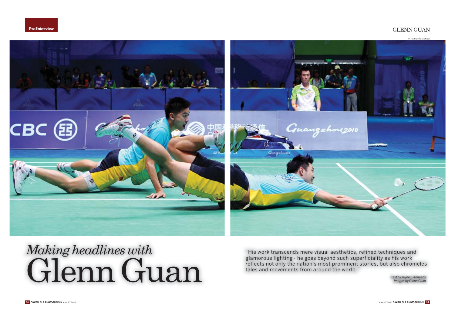#### GLENN GUAN



## *Making headlines with*  Glenn Guan

"His work transcends mere visual aesthetics, refined techniques and glamorous lighting - he goes beyond such superficiality as his work reflects not only the nation's most prominent stories, but also chronicles tales and movements from around the world."

> *Text by Jayne L.Kennedy Images by Glenn Guan*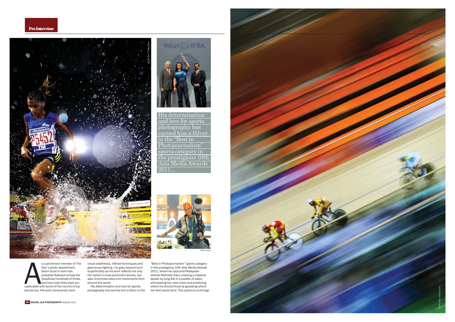



His determinationand love for sports photography has earned him a Silver in the "Best in Photojournalism" sports category in the prestigious 10th Asia Media Awards  $2011...$ 



s a prominent member of The Star's photo department,<br>Glenn Guan's work has<br>probably fluttered across the<br>headlines hundreds of times,<br>hand has most likely kept you captivated with some of the country's top stories too. His work transcends mere

visual aesthetics, refined techniques and glamorous lighting - he goes beyond such superficiality as his work reflects not only the nation's most prominent stories, but also chronicles tales and movements from around the world.

His determination and love for sports photography has earned him a Silver in the "Best in Photojournalism" sports category in the prestigious 10th Asia Media Awards 2011, where he captured Malaysian athlete Melinder Kaur creating a massive splash by lying flat in a puddle of water, anticipating her next move and predicting where he should focus by guessing where<br>her feet would land. This patience and tinge

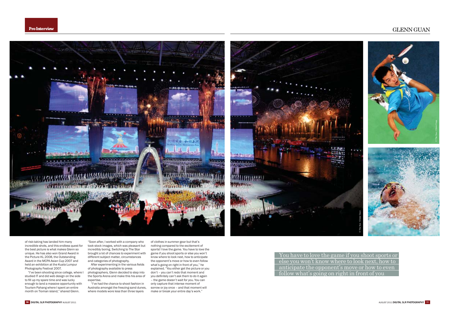

of risk-taking has landed him many incredible shots, and this endless quest for the best picture is what makes Glenn so unique. He has also won Grand Award in the Picture KL 2008, the Outstanding Award in the MCPA Asian Cup 2007 and held an exhibition at the Kuala Lumpur 2007. Photography Festival 2007.

"I've been shooting since college, where I studied IT and did web design on the side to fill up my spare time and was lucky enough to land a massive opportunity with Tourism Pahang where I spent an entire month on Tioman island," shared Glenn.

"Soon after, I worked with a company who took stock images, which was pleasant but incredibly boring. Switching to The Star brought a lot of chances to experiment with different subject matter, circumstances and categories of photography.

After experimenting in the various fields of photography available to press photographers, Glenn decided to step into the Sports Arena and make this his area of expertise.

"I've had the chance to shoot fashion in Australia amongst the freezing sand dunes, where models wore less than three layers

of clothes in summer gear but that's nothing compared to the excitement of sports! I love the game. You have to love the game if you shoot sports or else you won't know where to look next, how to anticipate the opponent's move or how to even follow what's going on right in front of you," he https://www.bigan.com/wildow.com/wildow.com/wildow.com/wildow.com/wildow.com/wildow.com/wildow.com/ don't - you can't redo that moment and you definitely can't ask them to do it again .<br>- the game doesn't wait for you. You can only capture that intense moment of sorrow or joy once - and that moment will make or break your entire day's work."

You have to love the game if you shoot sports or else you won't know where to look next, how to anticipate the opponent's move or how to even follow what's going on right in front of you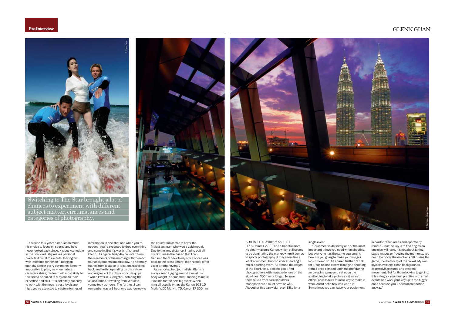**ProInterview**

GLENN GUAN



Switching to The Star brought a lot of chances to experiment with different subject matter, circumstances and categories of photography.





It's been four vears since Glenn made his choice to focus on sports, and he's never looked back since. His busy schedule in the news industry makes personal projects difficult to execute, leaving him with little time for himself. Being on standby almost every day makes it nearly impossible to plan, as when natural disasters strike, his team will most likely be the first to be called to duty due to their expertise and skill. "It's definitely not easy to work with the news' stress levels are high, you're expected to capture tonnes of

information in one shot and when you're needed, you're excepted to drop everything and come in. But it's worth it," shared Glenn. His typical busy day can start from the wee hours of the morning with three to four assignments due that day. He normally rushes from location to location, travelling back and forth depending on the nature and urgency of the day's work. He quips, "When I was in Guangzhou catching the Asian Games, travelling from venue to venue took us hours. The furthest I can remember was a 3-hour one way journey to

the equestrian centre to cover the Malaysian team who won a gold medal. Due to the long distance, I had to edit all  $m$ v pictures in the bus so that I can transmit them back to my office once I was back to the press centre, then rushed off to Francher Avent

As a sports photojournalists, Glenn is always seen lugging around almost his body weight in equipment, rushing to make it in time for the next big event! Glenn himself usually brings the Canon FOS 1D Mark IV, 5D Mark II, 7D, Canon EF 300mm

f2 8L IS FF 70-200mm f2 8L IS IL EF16-35mm F2.8L II and a handful more. He clearly favours Canon, which still seems to be dominating the market when it comes to sports photography. It may seem like a lot of equipment but consider attending a major sporting event. All around the edges of the court, field, pool etc you'll find photographers with massive lenses on the side-lines, 300mm or longer. To save themselves from sore shoulders. monopods are a must-have as well. Altogether this can weigh over 18kg for a

single event.

"Equipment is definitely one of the most important things you need when shooting, but everyone has the same equipment, how are you going to make your images look different?", he shared further, "Look for areas no one else will imagine shooting from. I once climbed upon the roof during an on-going game and sat upon the scaffolding to take pictures - it wasn't official access but I found a way to make it work. And it definitely was worth it! Sometimes you can leave your equipment

in hard to reach areas and operate by remote - but the key is to find angles no one else will have. It's not about taking static images or freezing the moments, you need to convey the emotions felt during the game, the electricity of the crowd. My own style showcases clean backgrounds. expressive gestures and dynamic movement. But for those looking to get into this category, you must practise with small  $\frac{1}{2}$  events and work your way up to the bigger ones because you'll need accreditation anyway."